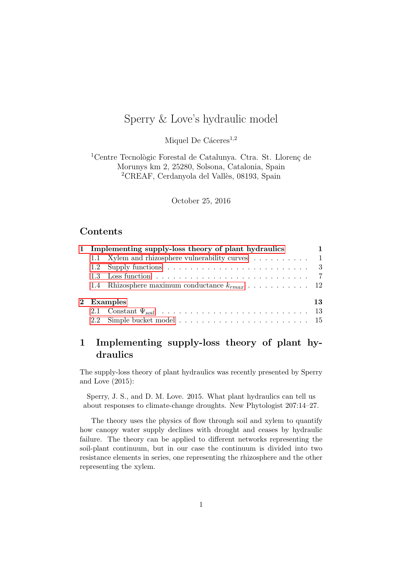# Sperry & Love's hydraulic model

Miquel De Cáceres<sup>1,2</sup>

 $1$ Centre Tecnològic Forestal de Catalunya. Ctra. St. Llorenç de Morunys km 2, 25280, Solsona, Catalonia, Spain  ${}^{2}$ CREAF, Cerdanyola del Vallès, 08193, Spain

October 25, 2016

## Contents

| 1 Implementing supply-loss theory of plant hydraulics |                                                   |    |
|-------------------------------------------------------|---------------------------------------------------|----|
|                                                       | 1.1 Xylem and rhizosphere vulnerability curves 1  |    |
|                                                       |                                                   |    |
|                                                       |                                                   |    |
|                                                       | 1.4 Rhizosphere maximum conductance $k_{rmax}$ 12 |    |
| 2 Examples                                            |                                                   | 13 |
|                                                       |                                                   |    |
|                                                       |                                                   |    |

## <span id="page-0-0"></span>1 Implementing supply-loss theory of plant hydraulics

The supply-loss theory of plant hydraulics was recently presented by Sperry and Love (2015):

Sperry, J. S., and D. M. Love. 2015. What plant hydraulics can tell us about responses to climate-change droughts. New Phytologist 207:14–27.

The theory uses the physics of flow through soil and xylem to quantify how canopy water supply declines with drought and ceases by hydraulic failure. The theory can be applied to different networks representing the soil-plant continuum, but in our case the continuum is divided into two resistance elements in series, one representing the rhizosphere and the other representing the xylem.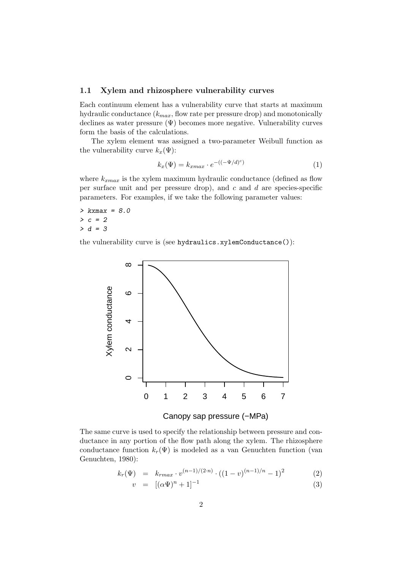#### <span id="page-1-0"></span>1.1 Xylem and rhizosphere vulnerability curves

Each continuum element has a vulnerability curve that starts at maximum hydraulic conductance  $(k_{max},$  flow rate per pressure drop) and monotonically declines as water pressure  $(\Psi)$  becomes more negative. Vulnerability curves form the basis of the calculations.

The xylem element was assigned a two-parameter Weibull function as the vulnerability curve  $k_x(\Psi)$ :

$$
k_x(\Psi) = k_{xmax} \cdot e^{-((-\Psi/d)^c)} \tag{1}
$$

where  $k_{xmax}$  is the xylem maximum hydraulic conductance (defined as flow per surface unit and per pressure drop), and  $c$  and  $d$  are species-specific parameters. For examples, if we take the following parameter values:

 $>$  kxmax = 8.0  $> c = 2$  $> d = 3$ 

the vulnerability curve is (see hydraulics.xylemConductance()):



The same curve is used to specify the relationship between pressure and conductance in any portion of the flow path along the xylem. The rhizosphere conductance function  $k_r(\Psi)$  is modeled as a van Genuchten function (van Genuchten, 1980):

$$
k_r(\Psi) = k_{rmax} \cdot v^{(n-1)/(2\cdot n)} \cdot ((1-v)^{(n-1)/n} - 1)^2 \tag{2}
$$

$$
v = [(\alpha \Psi)^n + 1]^{-1}
$$
 (3)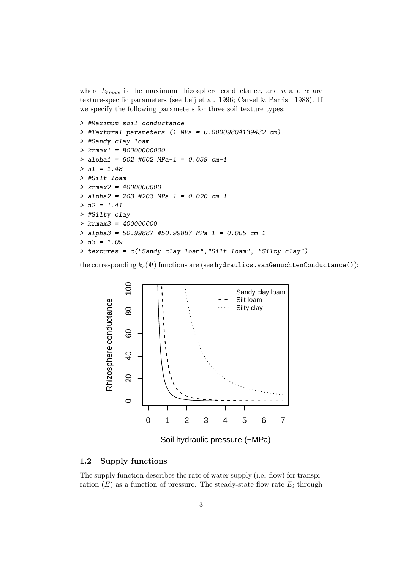where  $k_{rmax}$  is the maximum rhizosphere conductance, and n and  $\alpha$  are texture-specific parameters (see Leij et al. 1996; Carsel & Parrish 1988). If we specify the following parameters for three soil texture types:

```
> #Maximum soil conductance
> #Textural parameters (1 MPa = 0.00009804139432 cm)
> #Sandy clay loam
> krmax1 = 80000000000
> alpha1 = 602 #602 MPa-1 = 0.059 cm-1
> n1 = 1.48> #Silt loam
> krmax2 = 4000000000
> alpha2 = 203 #203 MPa-1 = 0.020 cm-1
> n2 = 1.41> #Silty clay
> krmax3 = 400000000
> alpha3 = 50.99887 #50.99887 MPa-1 = 0.005 cm-1
> n3 = 1.09> textures = c("Sandy clay loam","Silt loam", "Silty clay")
```
the corresponding  $k_r(\Psi)$  functions are (see hydraulics.vanGenuchtenConductance()):



#### <span id="page-2-0"></span>1.2 Supply functions

The supply function describes the rate of water supply (i.e. flow) for transpiration  $(E)$  as a function of pressure. The steady-state flow rate  $E_i$  through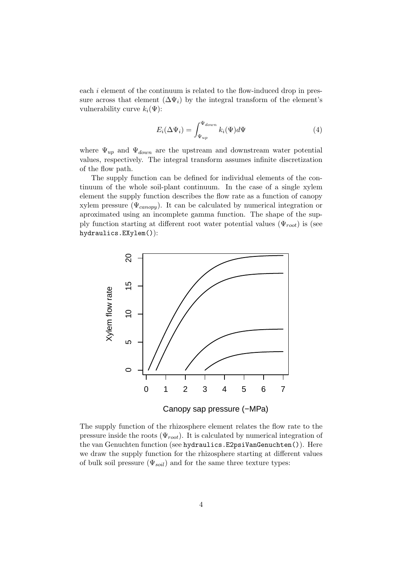each *i* element of the continuum is related to the flow-induced drop in pressure across that element  $(\Delta \Psi_i)$  by the integral transform of the element's vulnerability curve  $k_i(\Psi)$ :

$$
E_i(\Delta \Psi_i) = \int_{\Psi_{up}}^{\Psi_{down}} k_i(\Psi) d\Psi \tag{4}
$$

where  $\Psi_{up}$  and  $\Psi_{down}$  are the upstream and downstream water potential values, respectively. The integral transform assumes infinite discretization of the flow path.

The supply function can be defined for individual elements of the continuum of the whole soil-plant continuum. In the case of a single xylem element the supply function describes the flow rate as a function of canopy xylem pressure ( $\Psi_{canopy}$ ). It can be calculated by numerical integration or aproximated using an incomplete gamma function. The shape of the supply function starting at different root water potential values  $(\Psi_{root})$  is (see hydraulics.EXylem()):



The supply function of the rhizosphere element relates the flow rate to the pressure inside the roots ( $\Psi_{root}$ ). It is calculated by numerical integration of the van Genuchten function (see hydraulics.E2psiVanGenuchten()). Here we draw the supply function for the rhizosphere starting at different values of bulk soil pressure  $(\Psi_{soil})$  and for the same three texture types: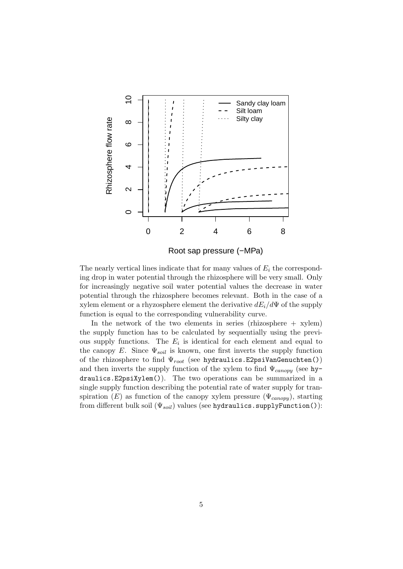

Root sap pressure (−MPa)

The nearly vertical lines indicate that for many values of  $E_i$  the corresponding drop in water potential through the rhizosphere will be very small. Only for increasingly negative soil water potential values the decrease in water potential through the rhizosphere becomes relevant. Both in the case of a xylem element or a rhyzosphere element the derivative  $dE_i/d\Psi$  of the supply function is equal to the corresponding vulnerability curve.

In the network of the two elements in series (rhizosphere  $+$  xylem) the supply function has to be calculated by sequentially using the previous supply functions. The  $E_i$  is identical for each element and equal to the canopy E. Since  $\Psi_{soil}$  is known, one first inverts the supply function of the rhizosphere to find  $\Psi_{root}$  (see hydraulics.E2psiVanGenuchten()) and then inverts the supply function of the xylem to find  $\Psi_{canopy}$  (see hydraulics.E2psiXylem()). The two operations can be summarized in a single supply function describing the potential rate of water supply for transpiration (E) as function of the canopy xylem pressure ( $\Psi_{canoyy}$ ), starting from different bulk soil  $(\Psi_{soil})$  values (see hydraulics.supplyFunction()):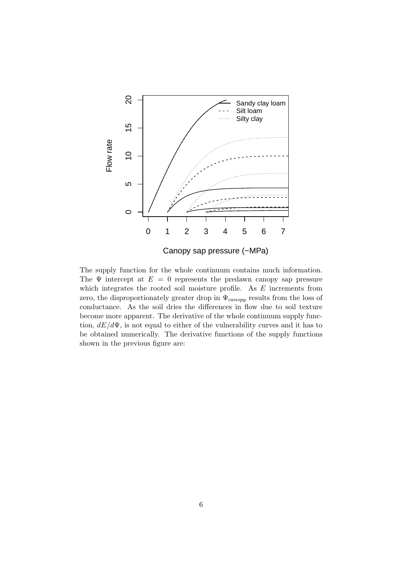

The supply function for the whole continuum contains much information. The  $\Psi$  intercept at  $E = 0$  represents the predawn canopy sap pressure which integrates the rooted soil moisture profile. As E increments from zero, the disproportionately greater drop in  $\Psi_{canopy}$  results from the loss of conductance. As the soil dries the differences in flow due to soil texture become more apparent. The derivative of the whole continuum supply function,  $dE/d\Psi$ , is not equal to either of the vulnerability curves and it has to be obtained numerically. The derivative functions of the supply functions shown in the previous figure are: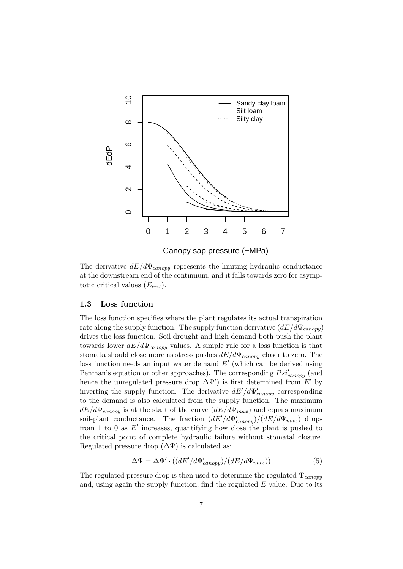

Canopy sap pressure (−MPa)

The derivative  $dE/d\Psi_{canopy}$  represents the limiting hydraulic conductance at the downstream end of the continuum, and it falls towards zero for asymptotic critical values  $(E_{crit})$ .

#### <span id="page-6-0"></span>1.3 Loss function

The loss function specifies where the plant regulates its actual transpiration rate along the supply function. The supply function derivative  $(dE/d\Psi_{canom})$ drives the loss function. Soil drought and high demand both push the plant towards lower  $dE/d\Psi_{canopy}$  values. A simple rule for a loss function is that stomata should close more as stress pushes  $dE/d\Psi_{canopy}$  closer to zero. The loss function needs an input water demand  $E'$  (which can be derived using Penman's equation or other approaches). The corresponding  $Psi'_{canopy}$  (and hence the unregulated pressure drop  $\Delta \Psi'$  is first determined from E' by inverting the supply function. The derivative  $dE'/d\Psi'_{canopy}$  corresponding to the demand is also calculated from the supply function. The maximum  $dE/d\Psi_{canopy}$  is at the start of the curve  $(dE/d\Psi_{max})$  and equals maximum soil-plant conductance. The fraction  $(dE'/d\Psi'_{canopy})/(dE/d\Psi_{max})$  drops from 1 to 0 as  $E'$  increases, quantifying how close the plant is pushed to the critical point of complete hydraulic failure without stomatal closure. Regulated pressure drop  $(\Delta\Psi)$  is calculated as:

$$
\Delta\Psi = \Delta\Psi' \cdot ((dE'/d\Psi'_{canopy})/(dE/d\Psi_{max}))
$$
\n(5)

The regulated pressure drop is then used to determine the regulated  $\Psi_{canopy}$ and, using again the supply function, find the regulated  $E$  value. Due to its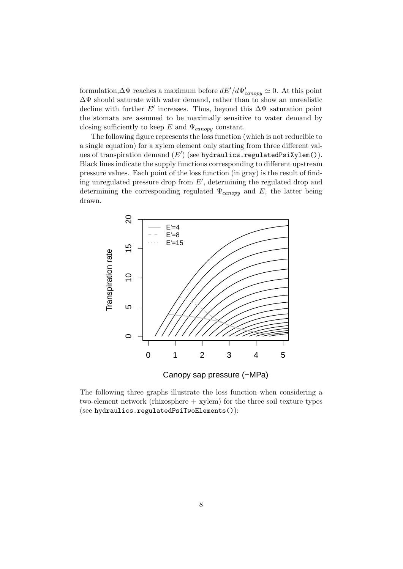formulation, $\Delta \Psi$  reaches a maximum before  $dE'/d\Psi'_{canopy} \simeq 0$ . At this point  $\Delta\Psi$  should saturate with water demand, rather than to show an unrealistic decline with further E' increases. Thus, beyond this  $\Delta \Psi$  saturation point the stomata are assumed to be maximally sensitive to water demand by closing sufficiently to keep E and  $\Psi_{canopy}$  constant.

The following figure represents the loss function (which is not reducible to a single equation) for a xylem element only starting from three different values of transpiration demand  $(E')$  (see hydraulics.regulatedPsiXylem()). Black lines indicate the supply functions corresponding to different upstream pressure values. Each point of the loss function (in gray) is the result of finding unregulated pressure drop from  $E'$ , determining the regulated drop and determining the corresponding regulated  $\Psi_{canopy}$  and E, the latter being drawn.



Canopy sap pressure (−MPa)

The following three graphs illustrate the loss function when considering a two-element network (rhizosphere + xylem) for the three soil texture types (see hydraulics.regulatedPsiTwoElements()):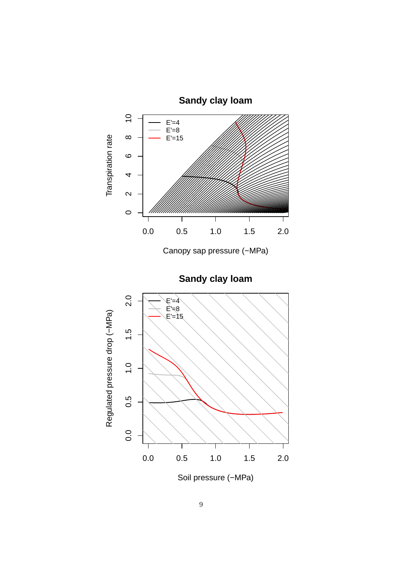

Soil pressure (−MPa)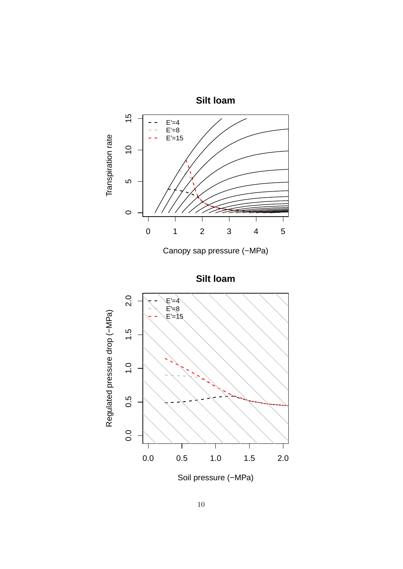

Soil pressure (−MPa)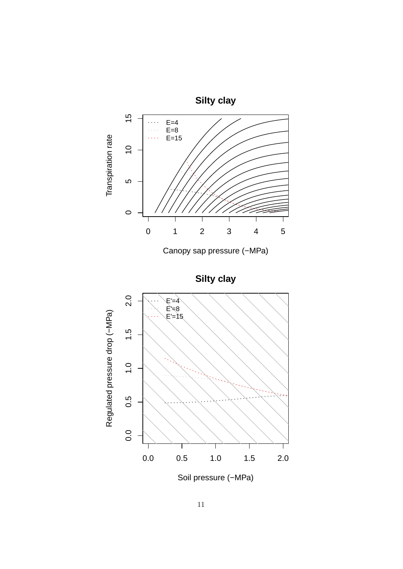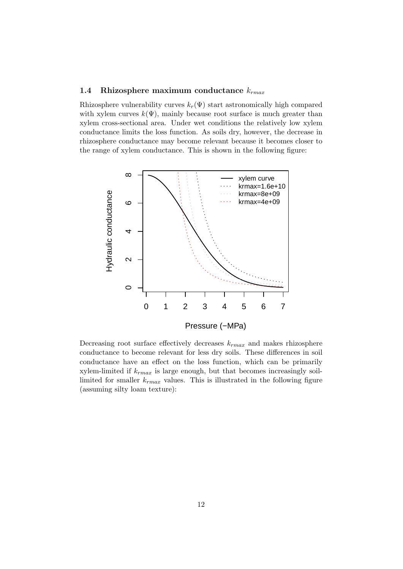#### <span id="page-11-0"></span>1.4 Rhizosphere maximum conductance  $k_{rmax}$

Rhizosphere vulnerability curves  $k_r(\Psi)$  start astronomically high compared with xylem curves  $k(\Psi)$ , mainly because root surface is much greater than xylem cross-sectional area. Under wet conditions the relatively low xylem conductance limits the loss function. As soils dry, however, the decrease in rhizosphere conductance may become relevant because it becomes closer to the range of xylem conductance. This is shown in the following figure:



Decreasing root surface effectively decreases  $k_{rmax}$  and makes rhizosphere conductance to become relevant for less dry soils. These differences in soil conductance have an effect on the loss function, which can be primarily xylem-limited if  $k_{rmax}$  is large enough, but that becomes increasingly soillimited for smaller  $k_{rmax}$  values. This is illustrated in the following figure (assuming silty loam texture):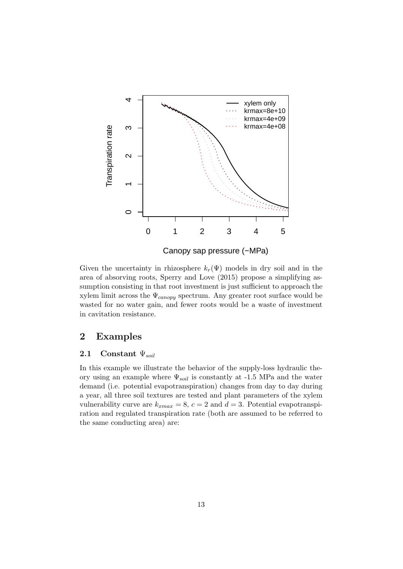

Canopy sap pressure (−MPa)

Given the uncertainty in rhizosphere  $k_r(\Psi)$  models in dry soil and in the area of absorving roots, Sperry and Love (2015) propose a simplifying assumption consisting in that root investment is just sufficient to approach the xylem limit across the  $\Psi_{canopy}$  spectrum. Any greater root surface would be wasted for no water gain, and fewer roots would be a waste of investment in cavitation resistance.

## <span id="page-12-0"></span>2 Examples

### <span id="page-12-1"></span>2.1 Constant  $\Psi_{soil}$

In this example we illustrate the behavior of the supply-loss hydraulic theory using an example where  $\Psi_{soil}$  is constantly at -1.5 MPa and the water demand (i.e. potential evapotranspiration) changes from day to day during a year, all three soil textures are tested and plant parameters of the xylem vulnerability curve are  $k_{xmax} = 8$ ,  $c = 2$  and  $d = 3$ . Potential evapotranspiration and regulated transpiration rate (both are assumed to be referred to the same conducting area) are: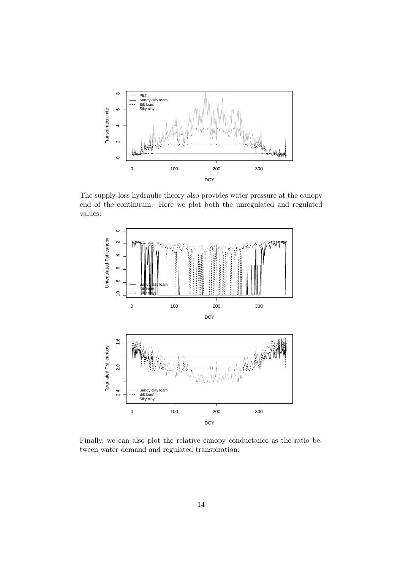

The supply-loss hydraulic theory also provides water pressure at the canopy end of the continuum. Here we plot both the unregulated and regulated values:



Finally, we can also plot the relative canopy conductance as the ratio between water demand and regulated transpiration: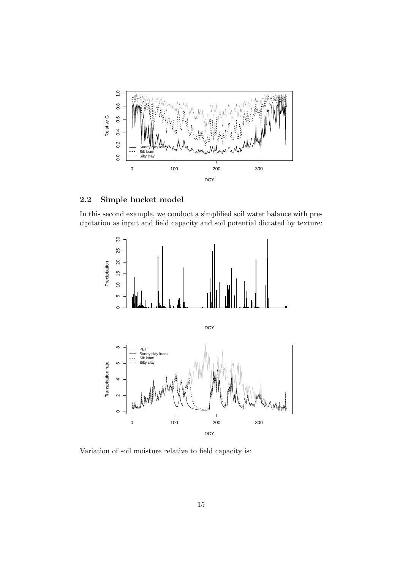

## <span id="page-14-0"></span>2.2 Simple bucket model

In this second example, we conduct a simplified soil water balance with precipitation as input and field capacity and soil potential dictated by texture:



Variation of soil moisture relative to field capacity is: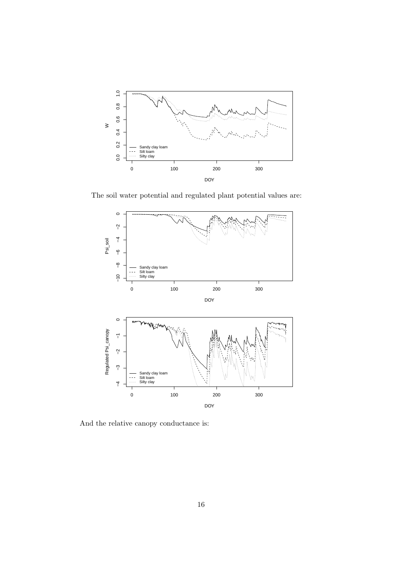

The soil water potential and regulated plant potential values are:



And the relative canopy conductance is: